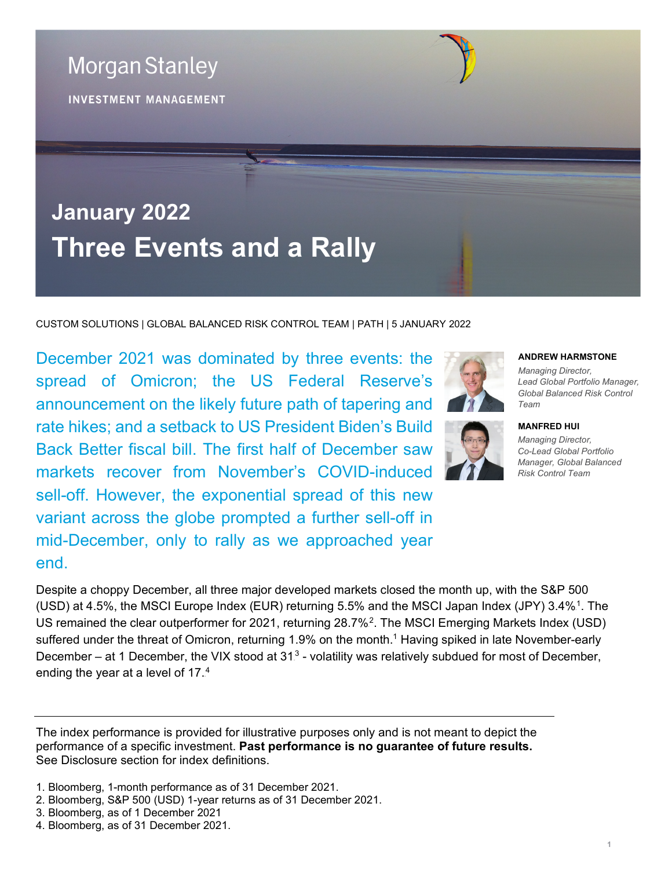**January 2022 Three Events and a Rally**

CUSTOM SOLUTIONS | GLOBAL BALANCED RISK CONTROL TEAM | PATH | 5 JANUARY 2022

December 2021 was dominated by three events: the spread of Omicron; the US Federal Reserve's announcement on the likely future path of tapering and rate hikes; and a setback to US President Biden's Build Back Better fiscal bill. The first half of December saw markets recover from November's COVID-induced sell-off. However, the exponential spread of this new variant across the globe prompted a further sell-off in mid-December, only to rally as we approached year end.

Despite a choppy December, all three major developed markets closed the month up, with the S&P 500 (USD) at 4.5%, the MSCI Europe Index (EUR) returning 5.5% and the MSCI Japan Index (JPY) 3.4%<sup>1</sup>. The US remained the clear outperformer for 2021, returning 28.7%<sup>2</sup>. The MSCI Emerging Markets Index (USD) suffered under the threat of Omicron, returning 1.9% on the month.<sup>1</sup> Having spiked in late November-early December – at 1 December, the VIX stood at  $31<sup>3</sup>$  - volatility was relatively subdued for most of December, ending the year at a level of 17. $4$ 

The index performance is provided for illustrative purposes only and is not meant to depict the performance of a specific investment. **Past performance is no guarantee of future results.**  See Disclosure section for index definitions.

- 1. Bloomberg, 1-month performance as of 31 December 2021.
- 2. Bloomberg, S&P 500 (USD) 1-year returns as of 31 December 2021.
- 3. Bloomberg, as of 1 December 2021
- 4. Bloomberg, as of 31 December 2021.

## **ANDREW HARMSTONE**

*Managing Director, Lead Global Portfolio Manager, Global Balanced Risk Control Team*



*Managing Director, Co-Lead Global Portfolio Manager, Global Balanced Risk Control Team*



**INVESTMENT MANAGEMENT**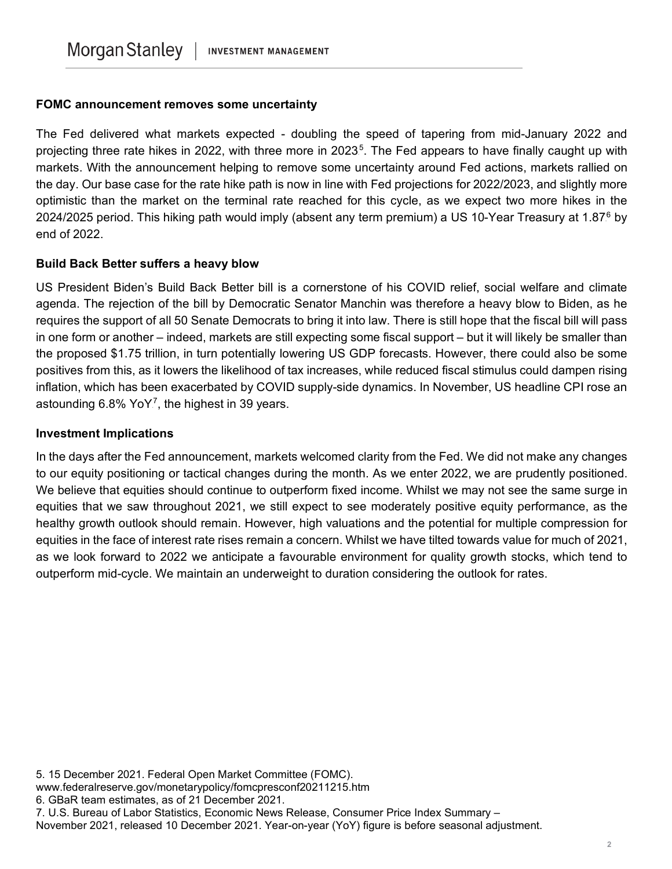## **FOMC announcement removes some uncertainty**

The Fed delivered what markets expected - doubling the speed of tapering from mid-January 2022 and projecting three rate hikes in 2022, with three more in 2023<sup>5</sup>. The Fed appears to have finally caught up with markets. With the announcement helping to remove some uncertainty around Fed actions, markets rallied on the day. Our base case for the rate hike path is now in line with Fed projections for 2022/2023, and slightly more optimistic than the market on the terminal rate reached for this cycle, as we expect two more hikes in the 2024/2025 period. This hiking path would imply (absent any term premium) a US 10-Year Treasury at 1.87 $^6$  by end of 2022.

## **Build Back Better suffers a heavy blow**

US President Biden's Build Back Better bill is a cornerstone of his COVID relief, social welfare and climate agenda. The rejection of the bill by Democratic Senator Manchin was therefore a heavy blow to Biden, as he requires the support of all 50 Senate Democrats to bring it into law. There is still hope that the fiscal bill will pass in one form or another – indeed, markets are still expecting some fiscal support – but it will likely be smaller than the proposed \$1.75 trillion, in turn potentially lowering US GDP forecasts. However, there could also be some positives from this, as it lowers the likelihood of tax increases, while reduced fiscal stimulus could dampen rising inflation, which has been exacerbated by COVID supply-side dynamics. In November, US headline CPI rose an astounding 6.8% YoY<sup>7</sup>, the highest in 39 years.

## **Investment Implications**

In the days after the Fed announcement, markets welcomed clarity from the Fed. We did not make any changes to our equity positioning or tactical changes during the month. As we enter 2022, we are prudently positioned. We believe that equities should continue to outperform fixed income. Whilst we may not see the same surge in equities that we saw throughout 2021, we still expect to see moderately positive equity performance, as the healthy growth outlook should remain. However, high valuations and the potential for multiple compression for equities in the face of interest rate rises remain a concern. Whilst we have tilted towards value for much of 2021, as we look forward to 2022 we anticipate a favourable environment for quality growth stocks, which tend to outperform mid-cycle. We maintain an underweight to duration considering the outlook for rates.

<sup>5.</sup> 15 December 2021. Federal Open Market Committee (FOMC).

www.federalreserve.gov/monetarypolicy/fomcpresconf20211215.htm

<sup>6.</sup> GBaR team estimates, as of 21 December 2021.

<sup>7.</sup> U.S. Bureau of Labor Statistics, Economic News Release, Consumer Price Index Summary –

November 2021, released 10 December 2021. Year-on-year (YoY) figure is before seasonal adjustment.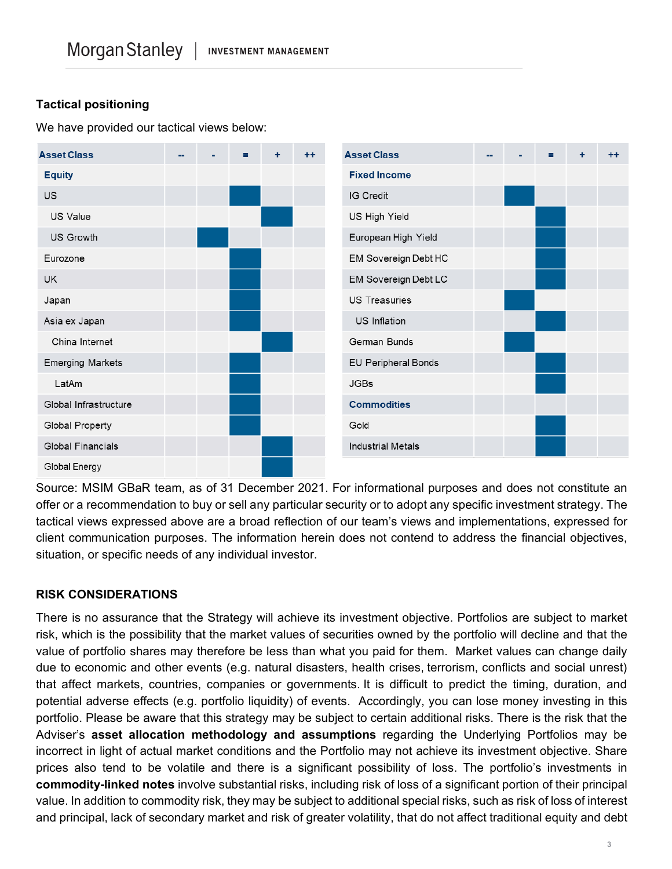# **Tactical positioning**

We have provided our tactical views below:



Source: MSIM GBaR team, as of 31 December 2021. For informational purposes and does not constitute an offer or a recommendation to buy or sell any particular security or to adopt any specific investment strategy. The tactical views expressed above are a broad reflection of our team's views and implementations, expressed for client communication purposes. The information herein does not contend to address the financial objectives, situation, or specific needs of any individual investor.

# **RISK CONSIDERATIONS**

There is no assurance that the Strategy will achieve its investment objective. Portfolios are subject to market risk, which is the possibility that the market values of securities owned by the portfolio will decline and that the value of portfolio shares may therefore be less than what you paid for them. Market values can change daily due to economic and other events (e.g. natural disasters, health crises, terrorism, conflicts and social unrest) that affect markets, countries, companies or governments. It is difficult to predict the timing, duration, and potential adverse effects (e.g. portfolio liquidity) of events. Accordingly, you can lose money investing in this portfolio. Please be aware that this strategy may be subject to certain additional risks. There is the risk that the Adviser's **asset allocation methodology and assumptions** regarding the Underlying Portfolios may be incorrect in light of actual market conditions and the Portfolio may not achieve its investment objective. Share prices also tend to be volatile and there is a significant possibility of loss. The portfolio's investments in **commodity-linked notes** involve substantial risks, including risk of loss of a significant portion of their principal value. In addition to commodity risk, they may be subject to additional special risks, such as risk of loss of interest and principal, lack of secondary market and risk of greater volatility, that do not affect traditional equity and debt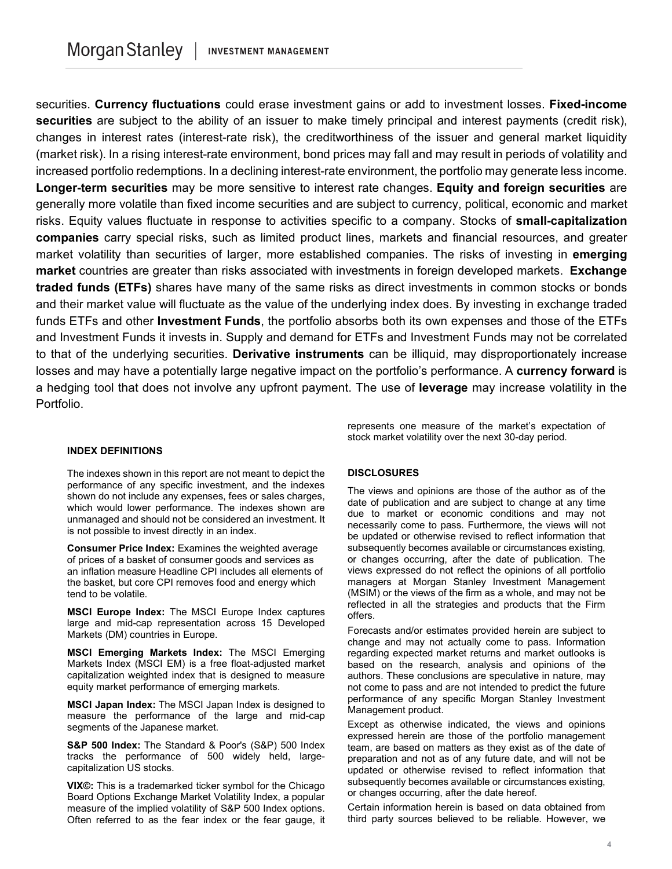securities. **Currency fluctuations** could erase investment gains or add to investment losses. **Fixed-income securities** are subject to the ability of an issuer to make timely principal and interest payments (credit risk), changes in interest rates (interest-rate risk), the creditworthiness of the issuer and general market liquidity (market risk). In a rising interest-rate environment, bond prices may fall and may result in periods of volatility and increased portfolio redemptions. In a declining interest-rate environment, the portfolio may generate less income. **Longer-term securities** may be more sensitive to interest rate changes. **Equity and foreign securities** are generally more volatile than fixed income securities and are subject to currency, political, economic and market risks. Equity values fluctuate in response to activities specific to a company. Stocks of **small-capitalization companies** carry special risks, such as limited product lines, markets and financial resources, and greater market volatility than securities of larger, more established companies. The risks of investing in **emerging market** countries are greater than risks associated with investments in foreign developed markets. **Exchange traded funds (ETFs)** shares have many of the same risks as direct investments in common stocks or bonds and their market value will fluctuate as the value of the underlying index does. By investing in exchange traded funds ETFs and other **Investment Funds**, the portfolio absorbs both its own expenses and those of the ETFs and Investment Funds it invests in. Supply and demand for ETFs and Investment Funds may not be correlated to that of the underlying securities. **Derivative instruments** can be illiquid, may disproportionately increase losses and may have a potentially large negative impact on the portfolio's performance. A **currency forward** is a hedging tool that does not involve any upfront payment. The use of **leverage** may increase volatility in the Portfolio.

#### **INDEX DEFINITIONS**

The indexes shown in this report are not meant to depict the performance of any specific investment, and the indexes shown do not include any expenses, fees or sales charges, which would lower performance. The indexes shown are unmanaged and should not be considered an investment. It is not possible to invest directly in an index.

**Consumer Price Index:** Examines the weighted average of prices of a basket of consumer goods and services as an inflation measure Headline CPI includes all elements of the basket, but core CPI removes food and energy which tend to be volatile.

**MSCI Europe Index:** The MSCI Europe Index captures large and mid-cap representation across 15 Developed Markets (DM) countries in Europe.

**MSCI Emerging Markets Index:** The MSCI Emerging Markets Index (MSCI EM) is a free float-adjusted market capitalization weighted index that is designed to measure equity market performance of emerging markets.

**MSCI Japan Index:** The MSCI Japan Index is designed to measure the performance of the large and mid-cap segments of the Japanese market.

**S&P 500 Index:** The Standard & Poor's (S&P) 500 Index tracks the performance of 500 widely held, largecapitalization US stocks.

**VIX©:** This is a trademarked ticker symbol for the Chicago Board Options Exchange Market Volatility Index, a popular measure of the implied volatility of S&P 500 Index options. Often referred to as the fear index or the fear gauge, it represents one measure of the market's expectation of stock market volatility over the next 30-day period.

#### **DISCLOSURES**

The views and opinions are those of the author as of the date of publication and are subject to change at any time due to market or economic conditions and may not necessarily come to pass. Furthermore, the views will not be updated or otherwise revised to reflect information that subsequently becomes available or circumstances existing, or changes occurring, after the date of publication. The views expressed do not reflect the opinions of all portfolio managers at Morgan Stanley Investment Management (MSIM) or the views of the firm as a whole, and may not be reflected in all the strategies and products that the Firm offers.

Forecasts and/or estimates provided herein are subject to change and may not actually come to pass. Information regarding expected market returns and market outlooks is based on the research, analysis and opinions of the authors. These conclusions are speculative in nature, may not come to pass and are not intended to predict the future performance of any specific Morgan Stanley Investment Management product.

Except as otherwise indicated, the views and opinions expressed herein are those of the portfolio management team, are based on matters as they exist as of the date of preparation and not as of any future date, and will not be updated or otherwise revised to reflect information that subsequently becomes available or circumstances existing, or changes occurring, after the date hereof.

Certain information herein is based on data obtained from third party sources believed to be reliable. However, we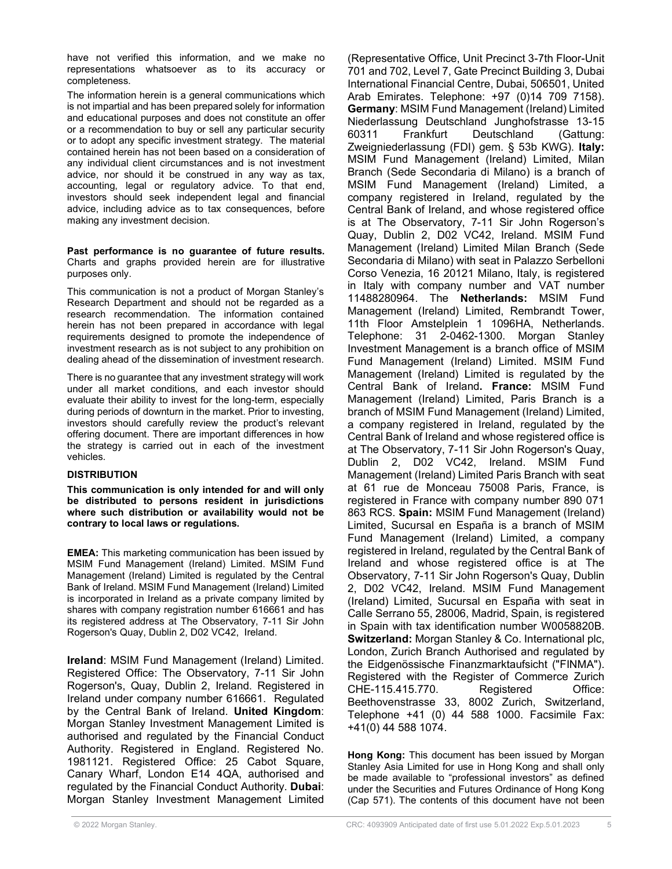have not verified this information, and we make no representations whatsoever as to its accuracy or completeness.

The information herein is a general communications which is not impartial and has been prepared solely for information and educational purposes and does not constitute an offer or a recommendation to buy or sell any particular security or to adopt any specific investment strategy. The material contained herein has not been based on a consideration of any individual client circumstances and is not investment advice, nor should it be construed in any way as tax, accounting, legal or regulatory advice. To that end, investors should seek independent legal and financial advice, including advice as to tax consequences, before making any investment decision.

**Past performance is no guarantee of future results.** Charts and graphs provided herein are for illustrative purposes only.

This communication is not a product of Morgan Stanley's Research Department and should not be regarded as a research recommendation. The information contained herein has not been prepared in accordance with legal requirements designed to promote the independence of investment research as is not subject to any prohibition on dealing ahead of the dissemination of investment research.

There is no guarantee that any investment strategy will work under all market conditions, and each investor should evaluate their ability to invest for the long-term, especially during periods of downturn in the market. Prior to investing, investors should carefully review the product's relevant offering document. There are important differences in how the strategy is carried out in each of the investment vehicles.

#### **DISTRIBUTION**

**This communication is only intended for and will only be distributed to persons resident in jurisdictions where such distribution or availability would not be contrary to local laws or regulations.**

**EMEA:** This marketing communication has been issued by MSIM Fund Management (Ireland) Limited. MSIM Fund Management (Ireland) Limited is regulated by the Central Bank of Ireland. MSIM Fund Management (Ireland) Limited is incorporated in Ireland as a private company limited by shares with company registration number 616661 and has its registered address at The Observatory, 7-11 Sir John Rogerson's Quay, Dublin 2, D02 VC42, Ireland.

**Ireland**: MSIM Fund Management (Ireland) Limited. Registered Office: The Observatory, 7-11 Sir John Rogerson's, Quay, Dublin 2, Ireland. Registered in Ireland under company number 616661. Regulated by the Central Bank of Ireland. **United Kingdom**: Morgan Stanley Investment Management Limited is authorised and regulated by the Financial Conduct Authority. Registered in England. Registered No. 1981121. Registered Office: 25 Cabot Square, Canary Wharf, London E14 4QA, authorised and regulated by the Financial Conduct Authority. **Dubai**: Morgan Stanley Investment Management Limited

(Representative Office, Unit Precinct 3-7th Floor-Unit 701 and 702, Level 7, Gate Precinct Building 3, Dubai International Financial Centre, Dubai, 506501, United Arab Emirates. Telephone: +97 (0)14 709 7158). **Germany**: MSIM Fund Management (Ireland) Limited Niederlassung Deutschland Junghofstrasse 13-15 60311 Frankfurt Deutschland (Gattung: Zweigniederlassung (FDI) gem. § 53b KWG). **Italy:** MSIM Fund Management (Ireland) Limited, Milan Branch (Sede Secondaria di Milano) is a branch of MSIM Fund Management (Ireland) Limited, a company registered in Ireland, regulated by the Central Bank of Ireland, and whose registered office is at The Observatory, 7-11 Sir John Rogerson's Quay, Dublin 2, D02 VC42, Ireland. MSIM Fund Management (Ireland) Limited Milan Branch (Sede Secondaria di Milano) with seat in Palazzo Serbelloni Corso Venezia, 16 20121 Milano, Italy, is registered in Italy with company number and VAT number 11488280964. The **Netherlands:** MSIM Fund Management (Ireland) Limited, Rembrandt Tower, 11th Floor Amstelplein 1 1096HA, Netherlands. Telephone: 31 2-0462-1300. Morgan Stanley Investment Management is a branch office of MSIM Fund Management (Ireland) Limited. MSIM Fund Management (Ireland) Limited is regulated by the Central Bank of Ireland**. France:** MSIM Fund Management (Ireland) Limited, Paris Branch is a branch of MSIM Fund Management (Ireland) Limited, a company registered in Ireland, regulated by the Central Bank of Ireland and whose registered office is at The Observatory, 7-11 Sir John Rogerson's Quay, Dublin 2, D02 VC42, Ireland. MSIM Fund Management (Ireland) Limited Paris Branch with seat at 61 rue de Monceau 75008 Paris, France, is registered in France with company number 890 071 863 RCS. **Spain:** MSIM Fund Management (Ireland) Limited, Sucursal en España is a branch of MSIM Fund Management (Ireland) Limited, a company registered in Ireland, regulated by the Central Bank of Ireland and whose registered office is at The Observatory, 7-11 Sir John Rogerson's Quay, Dublin 2, D02 VC42, Ireland. MSIM Fund Management (Ireland) Limited, Sucursal en España with seat in Calle Serrano 55, 28006, Madrid, Spain, is registered in Spain with tax identification number W0058820B. **Switzerland:** Morgan Stanley & Co. International plc, London, Zurich Branch Authorised and regulated by the Eidgenössische Finanzmarktaufsicht ("FINMA"). Registered with the Register of Commerce Zurich CHE-115.415.770. Registered Office: Beethovenstrasse 33, 8002 Zurich, Switzerland, Telephone +41 (0) 44 588 1000. Facsimile Fax: +41(0) 44 588 1074.

**Hong Kong:** This document has been issued by Morgan Stanley Asia Limited for use in Hong Kong and shall only be made available to "professional investors" as defined under the Securities and Futures Ordinance of Hong Kong (Cap 571). The contents of this document have not been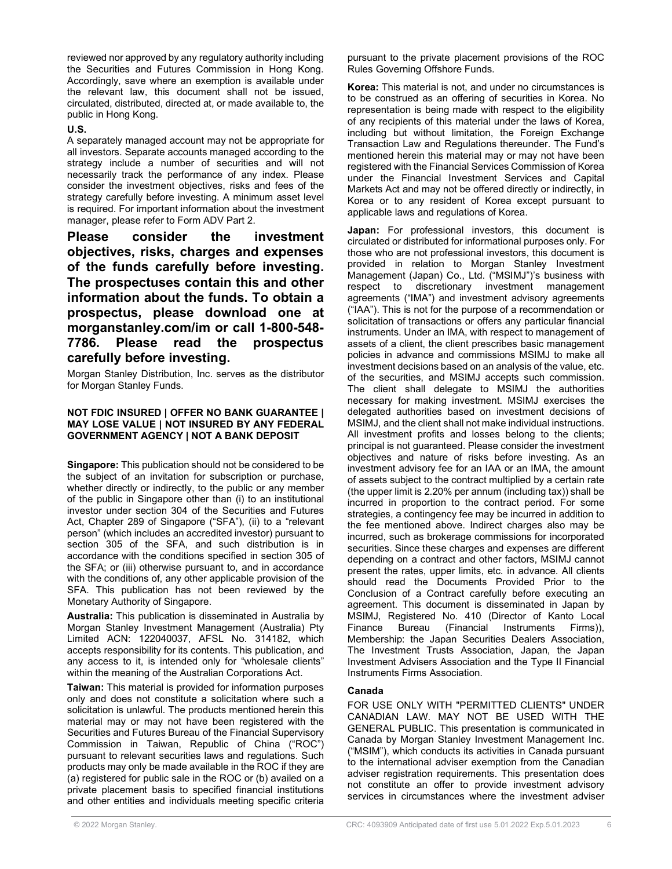reviewed nor approved by any regulatory authority including the Securities and Futures Commission in Hong Kong. Accordingly, save where an exemption is available under the relevant law, this document shall not be issued, circulated, distributed, directed at, or made available to, the public in Hong Kong.

#### **U.S.**

A separately managed account may not be appropriate for all investors. Separate accounts managed according to the strategy include a number of securities and will not necessarily track the performance of any index. Please consider the investment objectives, risks and fees of the strategy carefully before investing. A minimum asset level is required. For important information about the investment manager, please refer to Form ADV Part 2.

**Please consider the investment objectives, risks, charges and expenses of the funds carefully before investing. The prospectuses contain this and other information about the funds. To obtain a prospectus, please download one at morganstanley.com/im or call 1-800-548- 7786. Please read the prospectus carefully before investing.**

Morgan Stanley Distribution, Inc. serves as the distributor for Morgan Stanley Funds.

#### **NOT FDIC INSURED | OFFER NO BANK GUARANTEE | MAY LOSE VALUE | NOT INSURED BY ANY FEDERAL GOVERNMENT AGENCY | NOT A BANK DEPOSIT**

**Singapore:** This publication should not be considered to be the subject of an invitation for subscription or purchase, whether directly or indirectly, to the public or any member of the public in Singapore other than (i) to an institutional investor under section 304 of the Securities and Futures Act, Chapter 289 of Singapore ("SFA"), (ii) to a "relevant person" (which includes an accredited investor) pursuant to section 305 of the SFA, and such distribution is in accordance with the conditions specified in section 305 of the SFA; or (iii) otherwise pursuant to, and in accordance with the conditions of, any other applicable provision of the SFA. This publication has not been reviewed by the Monetary Authority of Singapore.

**Australia:** This publication is disseminated in Australia by Morgan Stanley Investment Management (Australia) Pty Limited ACN: 122040037, AFSL No. 314182, which accepts responsibility for its contents. This publication, and any access to it, is intended only for "wholesale clients" within the meaning of the Australian Corporations Act.

**Taiwan:** This material is provided for information purposes only and does not constitute a solicitation where such a solicitation is unlawful. The products mentioned herein this material may or may not have been registered with the Securities and Futures Bureau of the Financial Supervisory Commission in Taiwan, Republic of China ("ROC") pursuant to relevant securities laws and regulations. Such products may only be made available in the ROC if they are (a) registered for public sale in the ROC or (b) availed on a private placement basis to specified financial institutions and other entities and individuals meeting specific criteria

pursuant to the private placement provisions of the ROC Rules Governing Offshore Funds.

**Korea:** This material is not, and under no circumstances is to be construed as an offering of securities in Korea. No representation is being made with respect to the eligibility of any recipients of this material under the laws of Korea, including but without limitation, the Foreign Exchange Transaction Law and Regulations thereunder. The Fund's mentioned herein this material may or may not have been registered with the Financial Services Commission of Korea under the Financial Investment Services and Capital Markets Act and may not be offered directly or indirectly, in Korea or to any resident of Korea except pursuant to applicable laws and regulations of Korea.

**Japan:** For professional investors, this document is circulated or distributed for informational purposes only. For those who are not professional investors, this document is provided in relation to Morgan Stanley Investment Management (Japan) Co., Ltd. ("MSIMJ")'s business with respect to discretionary investment management agreements ("IMA") and investment advisory agreements ("IAA"). This is not for the purpose of a recommendation or solicitation of transactions or offers any particular financial instruments. Under an IMA, with respect to management of assets of a client, the client prescribes basic management policies in advance and commissions MSIMJ to make all investment decisions based on an analysis of the value, etc. of the securities, and MSIMJ accepts such commission. The client shall delegate to MSIMJ the authorities necessary for making investment. MSIMJ exercises the delegated authorities based on investment decisions of MSIMJ, and the client shall not make individual instructions. All investment profits and losses belong to the clients; principal is not guaranteed. Please consider the investment objectives and nature of risks before investing. As an investment advisory fee for an IAA or an IMA, the amount of assets subject to the contract multiplied by a certain rate (the upper limit is 2.20% per annum (including tax)) shall be incurred in proportion to the contract period. For some strategies, a contingency fee may be incurred in addition to the fee mentioned above. Indirect charges also may be incurred, such as brokerage commissions for incorporated securities. Since these charges and expenses are different depending on a contract and other factors, MSIMJ cannot present the rates, upper limits, etc. in advance. All clients should read the Documents Provided Prior to the Conclusion of a Contract carefully before executing an agreement. This document is disseminated in Japan by MSIMJ, Registered No. 410 (Director of Kanto Local Finance Bureau (Financial Instruments Firms)), Membership: the Japan Securities Dealers Association, The Investment Trusts Association, Japan, the Japan Investment Advisers Association and the Type II Financial Instruments Firms Association.

### **Canada**

FOR USE ONLY WITH "PERMITTED CLIENTS" UNDER CANADIAN LAW. MAY NOT BE USED WITH THE GENERAL PUBLIC. This presentation is communicated in Canada by Morgan Stanley Investment Management Inc. ("MSIM"), which conducts its activities in Canada pursuant to the international adviser exemption from the Canadian adviser registration requirements. This presentation does not constitute an offer to provide investment advisory services in circumstances where the investment adviser